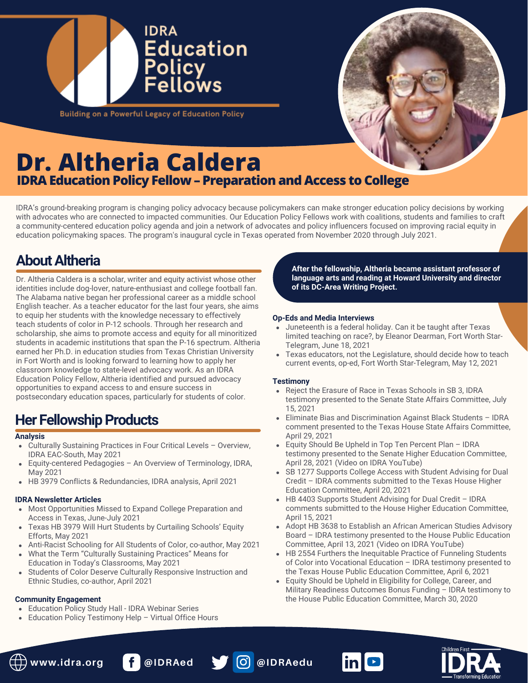



**Building on a Powerful Legacy of Education Policy** 

# **Dr. Altheria Caldera IDRA Education Policy Fellow - Preparation and Access to College**

IDRA's ground-breaking program is changing policy advocacy because policymakers can make stronger education policy decisions by working with advocates who are connected to impacted communities. Our Education Policy Fellows work with coalitions, students and families to craft a community-centered education policy agenda and join a network of advocates and policy influencers focused on improving racial equity in education policymaking spaces. The program's inaugural cycle in Texas operated from November 2020 through July 2021.

### **AboutAltheria**

Dr. Altheria Caldera is a scholar, writer and equity activist whose other identities include dog-lover, nature-enthusiast and college football fan. The Alabama native began her professional career as a middle school English teacher. As a teacher educator for the last four years, she aims to equip her students with the knowledge necessary to effectively teach students of color in P-12 schools. Through her research and scholarship, she aims to promote access and equity for all minoritized students in academic institutions that span the P-16 spectrum. Altheria earned her Ph.D. in education studies from Texas Christian University in Fort Worth and is looking forward to learning how to apply her classroom knowledge to state-level advocacy work. As an IDRA Education Policy Fellow, Altheria identified and pursued advocacy opportunities to expand access to and ensure success in postsecondary education spaces, particularly for students of color.

### **Her Fellowship Products**

#### **Analysis**

- Culturally Sustaining Practices in Four Critical Levels Overview, IDRA EAC-South, May 2021
- Equity-centered Pedagogies An Overview of Terminology, IDRA, May 2021
- HB 3979 Conflicts & Redundancies, IDRA analysis, April 2021

### **IDRA Newsletter Articles**

- Most Opportunities Missed to Expand College Preparation and Access in Texas, June-July 2021
- Texas HB 3979 Will Hurt Students by Curtailing Schools' Equity Efforts, May 2021
- Anti-Racist Schooling for All Students of Color, co-author, May 2021
- What the Term "Culturally Sustaining Practices" Means for Education in Today's Classrooms, May 2021
- Students of Color Deserve Culturally Responsive Instruction and  $\bullet$ Ethnic Studies, co-author, April 2021

### **Community Engagement**

- Education Policy Study Hall IDRA Webinar Series
- Education Policy Testimony Help Virtual Office Hours

**After the fellowship, Altheria became assistant professor of language arts and reading at Howard University and director of its DC-Area Writing Project.**

### **Op-Eds and Media Interviews**

- Juneteenth is a federal holiday. Can it be taught after Texas limited teaching on race?, by Eleanor Dearman, Fort Worth Star-Telegram, June 18, 2021
- Texas educators, not the Legislature, should decide how to teach current events, op-ed, Fort Worth Star-Telegram, May 12, 2021

- Reject the Erasure of Race in Texas Schools in SB 3, IDRA testimony presented to the Senate State Affairs Committee, July 15, 2021
- Eliminate Bias and Discrimination Against Black Students IDRA comment presented to the Texas House State Affairs Committee, April 29, 2021
- Equity Should Be Upheld in Top Ten Percent Plan IDRA testimony presented to the Senate Higher Education Committee, April 28, 2021 (Video on IDRA YouTube)
- SB 1277 Supports College Access with Student Advising for Dual Credit – IDRA comments submitted to the Texas House Higher Education Committee, April 20, 2021
- HB 4403 Supports Student Advising for Dual Credit IDRA comments submitted to the House Higher Education Committee, April 15, 2021
- Adopt HB 3638 to Establish an African American Studies Advisory Board – IDRA testimony presented to the House Public Education Committee, April 13, 2021 (Video on IDRA YouTube)
- HB 2554 Furthers the Inequitable Practice of Funneling Students of Color into Vocational Education – IDRA testimony presented to the Texas House Public Education Committee, April 6, 2021
- Equity Should be Upheld in Eligibility for College, Career, and Military Readiness Outcomes Bonus Funding – IDRA testimony to the House Public Education Committee, March 30, 2020





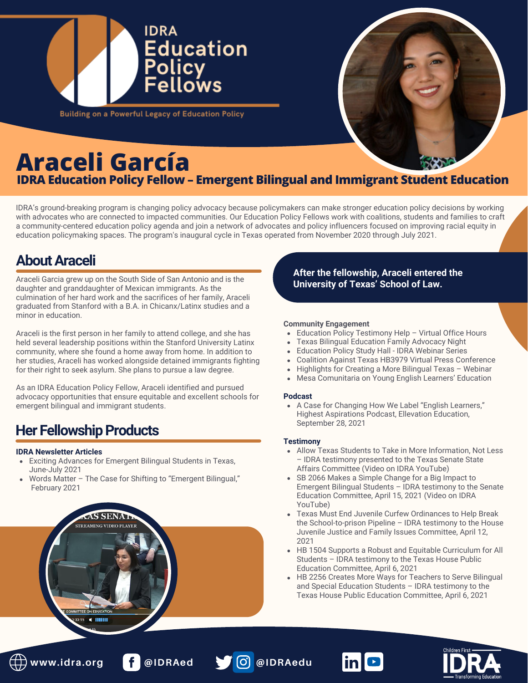

# **Araceli García**

### **IDRA Education Policy Fellow – Emergent Bilingual and Immigrant Student Education**

IDRA's ground-breaking program is changing policy advocacy because policymakers can make stronger education policy decisions by working with advocates who are connected to impacted communities. Our Education Policy Fellows work with coalitions, students and families to craft a community-centered education policy agenda and join a network of advocates and policy influencers focused on improving racial equity in education policymaking spaces. The program's inaugural cycle in Texas operated from November 2020 through July 2021.

### **AboutAraceli**

Araceli Garcia grew up on the South Side of San Antonio and is the daughter and granddaughter of Mexican immigrants. As the culmination of her hard work and the sacrifices of her family, Araceli graduated from Stanford with a B.A. in Chicanx/Latinx studies and a minor in education.

Araceli is the first person in her family to attend college, and she has held several leadership positions within the Stanford University Latinx community, where she found a home away from home. In addition to her studies, Araceli has worked alongside detained immigrants fighting for their right to seek asylum. She plans to pursue a law degree.

As an IDRA Education Policy Fellow, Araceli identified and pursued advocacy opportunities that ensure equitable and excellent schools for emergent bilingual and immigrant students.

### **Her Fellowship Products**

a-inn

### **IDRA Newsletter Articles**

- Exciting Advances for Emergent Bilingual Students in Texas, June-July 2021
- Words Matter The Case for Shifting to "Emergent Bilingual," February 2021

### **After the fellowship, Araceli entered the University of Texas' School of Law.**

### **Community Engagement**

- Education Policy Testimony Help Virtual Office Hours
- Texas Bilingual Education Family Advocacy Night
- Education Policy Study Hall IDRA Webinar Series
- Coalition Against Texas HB3979 Virtual Press Conference
- Highlights for Creating a More Bilingual Texas Webinar
- Mesa Comunitaria on Young English Learners' Education

### **Podcast**

A Case for Changing How We Label "English Learners," Highest Aspirations Podcast, Ellevation Education, September 28, 2021

- Allow Texas Students to Take in More Information, Not Less – IDRA testimony presented to the Texas Senate State Affairs Committee (Video on IDRA YouTube)
- SB 2066 Makes a Simple Change for a Big Impact to Emergent Bilingual Students – IDRA testimony to the Senate Education Committee, April 15, 2021 (Video on IDRA YouTube)
- Texas Must End Juvenile Curfew Ordinances to Help Break the School-to-prison Pipeline – IDRA testimony to the House Juvenile Justice and Family Issues Committee, April 12, 2021
- HB 1504 Supports a Robust and Equitable Curriculum for All Students – IDRA testimony to the Texas House Public Education Committee, April 6, 2021
- HB 2256 Creates More Ways for Teachers to Serve Bilingual and Special Education Students – IDRA testimony to the Texas House Public Education Committee, April 6, 2021





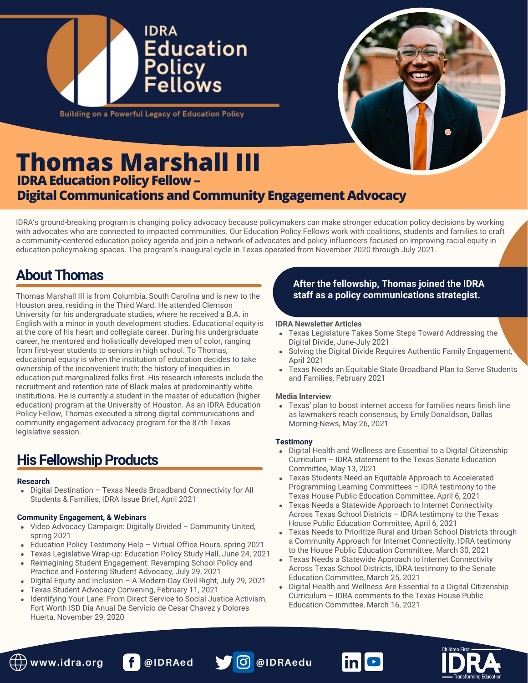



**Building on a Powerful Legacy of Education Policy** 

### **Thomas Marshall III IDRA Education Policy Fellow -Digital Communications and Community Engagement Advocacy**

IDRA's ground-breaking program is changing policy advocacy because policymakers can make stronger education policy decisions by working with advocates who are connected to impacted communities. Our Education Policy Fellows work with coalitions, students and families to craft a community-centered education policy agenda and join a network of advocates and policy influencers focused on improving racial equity in education policymaking spaces. The program's inaugural cycle in Texas operated from November 2020 through July 2021.

### **About Thomas**

Thomas Marshall III is from Columbia, South Carolina and is new to the Houston area, residing in the Third Ward. He attended Clemson University for his undergraduate studies, where he received a B.A. in English with a minor in youth development studies. Educational equity is at the core of his heart and collegiate career. During his undergraduate career, he mentored and holistically developed men of color, ranging from first-year students to seniors in high school. To Thomas, educational equity is when the institution of education decides to take ownership of the inconvenient truth: the history of inequities in education put marginalized folks first. His research interests include the recruitment and retention rate of Black males at predominantly white institutions. He is currently a student in the master of education (higher education) program at the University of Houston. As an IDRA Education Policy Fellow, Thomas executed a strong digital communications and community engagement advocacy program for the 87th Texas legislative session.

## **His Fellowship Products**

### **Research**

Digital Destination – Texas Needs Broadband Connectivity for All Students & Families, IDRA Issue Brief, April 2021

### **Community Engagement, & Webinars**

- Video Advocacy Campaign: Digitally Divided Community United, spring 2021
- Education Policy Testimony Help Virtual Office Hours, spring 2021
- Texas Legislative Wrap-up: Education Policy Study Hall, June 24, 2021
- Reimagining Student Engagement: Revamping School Policy and Practice and Fostering Student Advocacy, July 29, 2021
- Digital Equity and Inclusion A Modern-Day Civil Right, July 29, 2021
- Texas Student Advocacy Convening, February 11, 2021
- Identifying Your Lane: From Direct Service to Social Justice Activism, Fort Worth ISD Dia Anual De Servicio de Cesar Chavez y Dolores Huerta, November 29, 2020

### **After the fellowship, Thomas joined the IDRA staff as a policy communications strategist.**

#### **IDRA Newsletter Articles**

- Texas Legislature Takes Some Steps Toward Addressing the Digital Divide, June-July 2021
- Solving the Digital Divide Requires Authentic Family Engagement, April 2021
- Texas Needs an Equitable State Broadband Plan to Serve Students and Families, February 2021

### **[Media Interview](https://www.dallasnews.com/news/education/2021/05/26/texas-plan-to-boost-internet-access-for-families-nears-finish-line-as-lawmakers-reach-consensus/)**

[Texas' plan to boost internet access for families nears finish line](https://www.dallasnews.com/news/education/2021/05/26/texas-plan-to-boost-internet-access-for-families-nears-finish-line-as-lawmakers-reach-consensus/) as lawmakers reach consensus, by Emily Donaldson, Dallas Morning-News, May 26, 2021

- Digital Health and Wellness are Essential to a Digital Citizenship Curriculum – IDRA statement to the Texas Senate Education Committee, May 13, 2021
- Texas Students Need an Equitable Approach to Accelerated Programming Learning Committees – IDRA testimony to the Texas House Public Education Committee, April 6, 2021
- Texas Needs a Statewide Approach to Internet Connectivity Across Texas School Districts – IDRA testimony to the Texas House Public Education Committee, April 6, 2021
- Texas Needs to Prioritize Rural and Urban School Districts through a Community Approach for Internet Connectivity, IDRA testimony to the House Public Education Committee, March 30, 2021
- Texas Needs a Statewide Approach to Internet Connectivity Across Texas School Districts, IDRA testimony to the Senate Education Committee, March 25, 2021
- Digital Health and Wellness Are Essential to a Digital Citizenship Curriculum – IDRA comments to the Texas House Public Education Committee, March 16, 2021